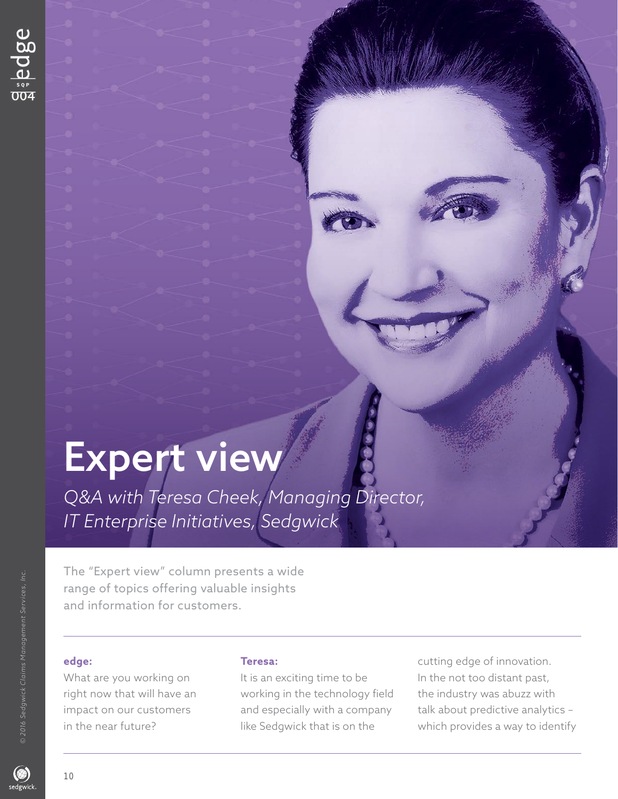# Expert view

*Q&A with Teresa Cheek, Managing Director, IT Enterprise Initiatives, Sedgwick* 

The "Expert view" column presents a wide range of topics offering valuable insights and information for customers.

10

What are you working on It is an exciting time to be In the not too distant past, right now that will have an working in the technology field the industry was abuzz with

**edge: Teresa: Teresa: cutting edge of innovation.** impact on our customers and especially with a company talk about predictive analytics in the near future? like Sedgwick that is on the which provides a way to identify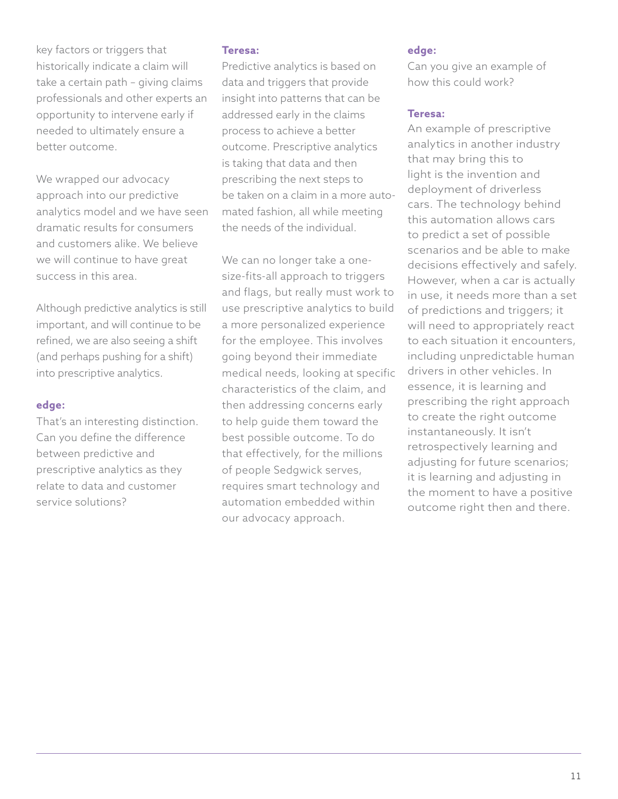key factors or triggers that historically indicate a claim will take a certain path – giving claims professionals and other experts an opportunity to intervene early if needed to ultimately ensure a better outcome.

We wrapped our advocacy approach into our predictive analytics model and we have seen dramatic results for consumers and customers alike. We believe we will continue to have great success in this area.

Although predictive analytics is still important, and will continue to be refined, we are also seeing a shift (and perhaps pushing for a shift) into prescriptive analytics.

#### **edge:**

That's an interesting distinction. Can you define the difference between predictive and prescriptive analytics as they relate to data and customer service solutions?

### **Teresa:**

Predictive analytics is based on data and triggers that provide insight into patterns that can be addressed early in the claims process to achieve a better outcome. Prescriptive analytics is taking that data and then prescribing the next steps to be taken on a claim in a more automated fashion, all while meeting the needs of the individual.

We can no longer take a onesize-fits-all approach to triggers and flags, but really must work to use prescriptive analytics to build a more personalized experience for the employee. This involves going beyond their immediate medical needs, looking at specific characteristics of the claim, and then addressing concerns early to help guide them toward the best possible outcome. To do that effectively, for the millions of people Sedgwick serves, requires smart technology and automation embedded within our advocacy approach.

## **edge:**

Can you give an example of how this could work?

#### **Teresa:**

 outcome right then and there. An example of prescriptive analytics in another industry that may bring this to light is the invention and deployment of driverless cars. The technology behind this automation allows cars to predict a set of possible scenarios and be able to make decisions effectively and safely. However, when a car is actually in use, it needs more than a set of predictions and triggers; it will need to appropriately react to each situation it encounters, including unpredictable human drivers in other vehicles. In essence, it is learning and prescribing the right approach to create the right outcome instantaneously. It isn't retrospectively learning and adjusting for future scenarios; it is learning and adjusting in the moment to have a positive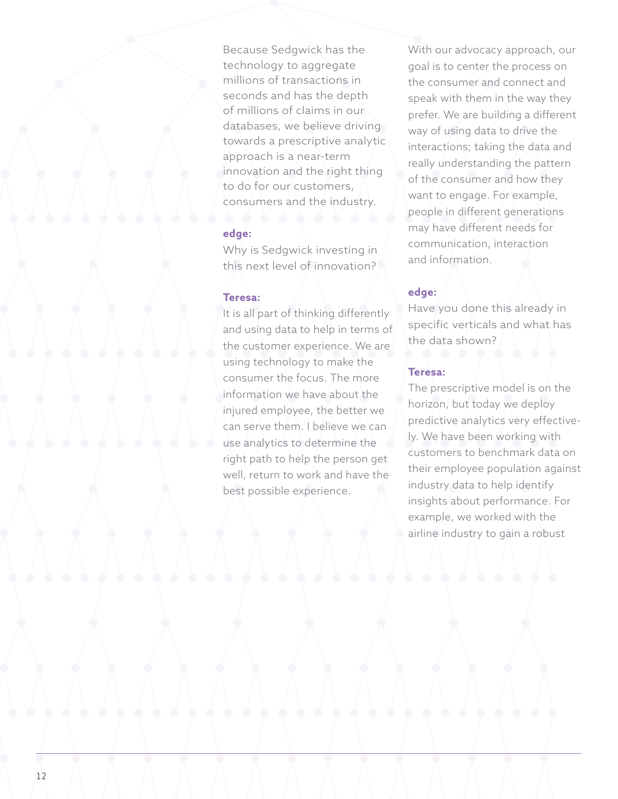Because Sedgwick has the technology to aggregate millions of transactions in seconds and has the depth of millions of claims in our databases, we believe driving towards a prescriptive analytic approach is a near-term innovation and the right thing to do for our customers, consumers and the industry.

### **edge:**

Why is Sedgwick investing in this next level of innovation?

#### **Teresa:**

It is all part of thinking differently and using data to help in terms of the customer experience. We are using technology to make the consumer the focus. The more information we have about the injured employee, the better we can serve them. I believe we can use analytics to determine the right path to help the person get well, return to work and have the best possible experience.

With our advocacy approach, our goal is to center the process on the consumer and connect and speak with them in the way they prefer. We are building a different way of using data to drive the interactions; taking the data and really understanding the pattern of the consumer and how they want to engage. For example, people in different generations may have different needs for communication, interaction and information.

#### **edge:**

Have you done this already in specific verticals and what has the data shown?

### **Teresa:**

The prescriptive model is on the horizon, but today we deploy predictive analytics very effectively. We have been working with customers to benchmark data on their employee population against industry data to help identify insights about performance. For example, we worked with the airline industry to gain a robust